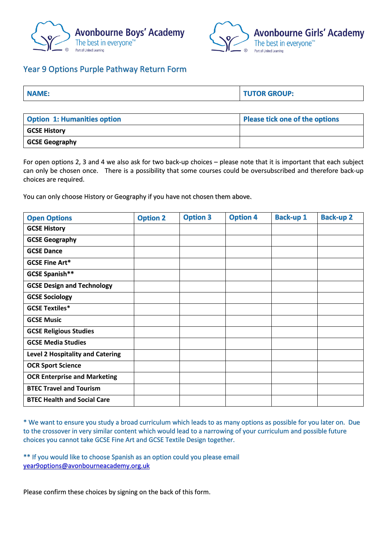



## Year 9 Options Purple Pathway Return Form

| NAME:                              | <b>TUTOR GROUP:</b>            |
|------------------------------------|--------------------------------|
|                                    |                                |
| <b>Option 1: Humanities option</b> | Please tick one of the options |
| <b>GCSE History</b>                |                                |

**GCSE Geography**

For open options 2, 3 and 4 we also ask for two back-up choices – please note that it is important that each subject can only be chosen once. There is a possibility that some courses could be oversubscribed and therefore back-up choices are required.

You can only choose History or Geography if you have not chosen them above.

| <b>Open Options</b>                     | <b>Option 2</b> | <b>Option 3</b> | <b>Option 4</b> | <b>Back-up 1</b> | <b>Back-up 2</b> |
|-----------------------------------------|-----------------|-----------------|-----------------|------------------|------------------|
| <b>GCSE History</b>                     |                 |                 |                 |                  |                  |
| <b>GCSE Geography</b>                   |                 |                 |                 |                  |                  |
| <b>GCSE Dance</b>                       |                 |                 |                 |                  |                  |
| <b>GCSE Fine Art*</b>                   |                 |                 |                 |                  |                  |
| GCSE Spanish**                          |                 |                 |                 |                  |                  |
| <b>GCSE Design and Technology</b>       |                 |                 |                 |                  |                  |
| <b>GCSE Sociology</b>                   |                 |                 |                 |                  |                  |
| <b>GCSE Textiles*</b>                   |                 |                 |                 |                  |                  |
| <b>GCSE Music</b>                       |                 |                 |                 |                  |                  |
| <b>GCSE Religious Studies</b>           |                 |                 |                 |                  |                  |
| <b>GCSE Media Studies</b>               |                 |                 |                 |                  |                  |
| <b>Level 2 Hospitality and Catering</b> |                 |                 |                 |                  |                  |
| <b>OCR Sport Science</b>                |                 |                 |                 |                  |                  |
| <b>OCR Enterprise and Marketing</b>     |                 |                 |                 |                  |                  |
| <b>BTEC Travel and Tourism</b>          |                 |                 |                 |                  |                  |
| <b>BTEC Health and Social Care</b>      |                 |                 |                 |                  |                  |

\* We want to ensure you study a broad curriculum which leads to as many options as possible for you later on. Due to the crossover in very similar content which would lead to a narrowing of your curriculum and possible future choices you cannot take GCSE Fine Art and GCSE Textile Design together.

\*\* If you would like to choose Spanish as an option could you please email [year9options@avonbourneacademy.org.uk](mailto:year9options@avonbourneacademy.org.uk)

Please confirm these choices by signing on the back of this form.